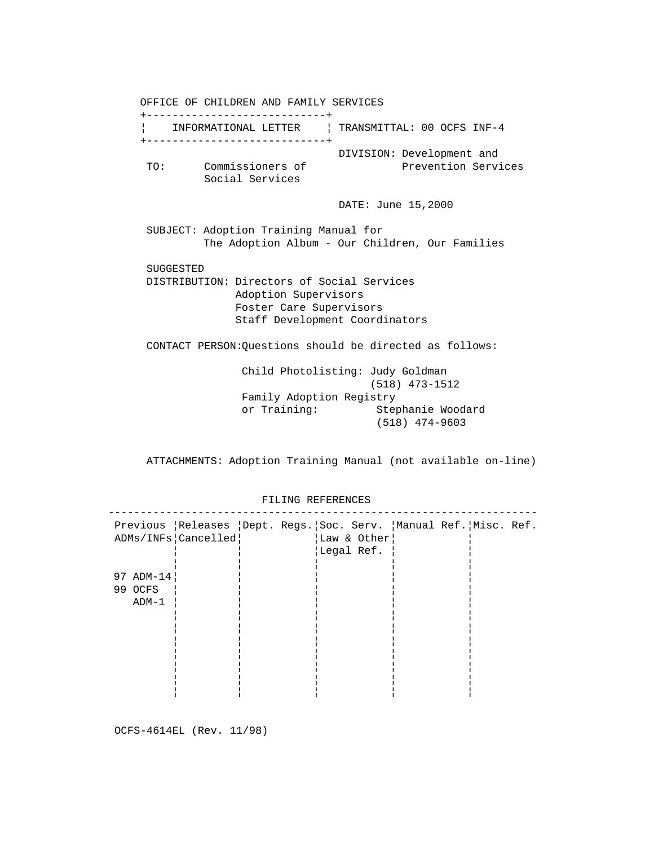OFFICE OF CHILDREN AND FAMILY SERVICES +----------------------------+ ¦ INFORMATIONAL LETTER ¦ TRANSMITTAL: 00 OCFS INF-4 +----------------------------+ DIVISION: Development and TO: Commissioners of Prevention Services Social Services DATE: June 15,2000 SUBJECT: Adoption Training Manual for The Adoption Album - Our Children, Our Families SUGGESTED DISTRIBUTION: Directors of Social Services Adoption Supervisors Foster Care Supervisors Staff Development Coordinators CONTACT PERSON:Questions should be directed as follows: Child Photolisting: Judy Goldman (518) 473-1512 Family Adoption Registry or Training: Stephanie Woodard (518) 474-9603

ATTACHMENTS: Adoption Training Manual (not available on-line)

| Previous   Releases   Dept. Regs.   Soc. Serv.   Manual Ref.   Misc. Ref.<br>ADMs/INFs Cancelled <br> Law & Other <br>Legal Ref.<br>97 ADM-14<br>99 OCFS<br>$ADM-1$ |  |
|---------------------------------------------------------------------------------------------------------------------------------------------------------------------|--|
|                                                                                                                                                                     |  |
|                                                                                                                                                                     |  |
|                                                                                                                                                                     |  |
|                                                                                                                                                                     |  |
|                                                                                                                                                                     |  |
|                                                                                                                                                                     |  |
|                                                                                                                                                                     |  |
|                                                                                                                                                                     |  |
|                                                                                                                                                                     |  |
|                                                                                                                                                                     |  |
|                                                                                                                                                                     |  |
|                                                                                                                                                                     |  |
|                                                                                                                                                                     |  |
|                                                                                                                                                                     |  |

FILING REFERENCES

OCFS-4614EL (Rev. 11/98)